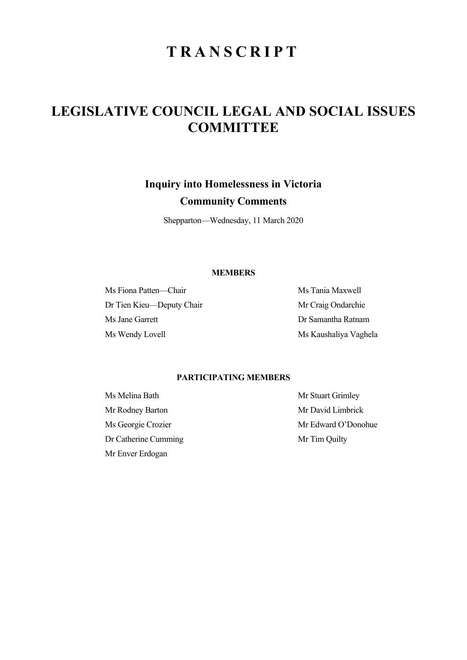# **TRANSCRIPT**

## **LEGISLATIVE COUNCIL LEGAL AND SOCIAL ISSUES COMMITTEE**

### **Inquiry into Homelessness in Victoria**

## **Community Comments**

Shepparton—Wednesday, 11 March 2020

#### **MEMBERS**

Ms Fiona Patten—Chair Ms Tania Maxwell Dr Tien Kieu—Deputy Chair Mr Craig Ondarchie Ms Jane Garrett Dr Samantha Ratnam Ms Wendy Lovell Ms Kaushaliya Vaghela

### **PARTICIPATING MEMBERS**

Mr Rodney Barton Mr David Limbrick Dr Catherine Cumming Mr Tim Quilty Mr Enver Erdogan

Ms Melina Bath Mr Stuart Grimley Ms Georgie Crozier Mr Edward O'Donohue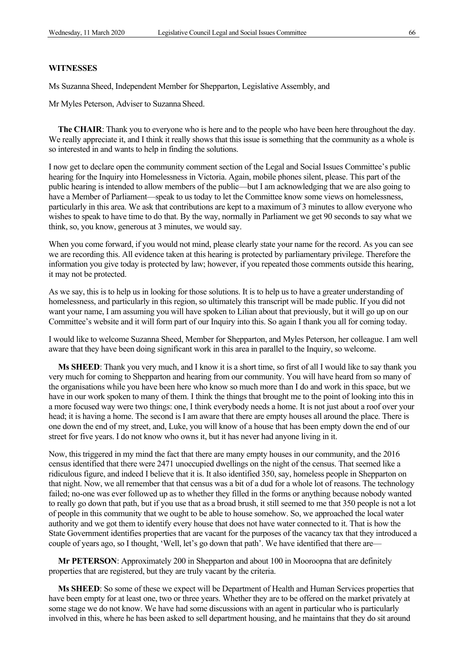#### **WITNESSES**

Ms Suzanna Sheed, Independent Member for Shepparton, Legislative Assembly, and

Mr Myles Peterson, Adviser to Suzanna Sheed.

**The CHAIR**: Thank you to everyone who is here and to the people who have been here throughout the day. We really appreciate it, and I think it really shows that this issue is something that the community as a whole is so interested in and wants to help in finding the solutions.

I now get to declare open the community comment section of the Legal and Social Issues Committee's public hearing for the Inquiry into Homelessness in Victoria. Again, mobile phones silent, please. This part of the public hearing is intended to allow members of the public—but I am acknowledging that we are also going to have a Member of Parliament—speak to us today to let the Committee know some views on homelessness, particularly in this area. We ask that contributions are kept to a maximum of 3 minutes to allow everyone who wishes to speak to have time to do that. By the way, normally in Parliament we get 90 seconds to say what we think, so, you know, generous at 3 minutes, we would say.

When you come forward, if you would not mind, please clearly state your name for the record. As you can see we are recording this. All evidence taken at this hearing is protected by parliamentary privilege. Therefore the information you give today is protected by law; however, if you repeated those comments outside this hearing, it may not be protected.

As we say, this is to help us in looking for those solutions. It is to help us to have a greater understanding of homelessness, and particularly in this region, so ultimately this transcript will be made public. If you did not want your name, I am assuming you will have spoken to Lilian about that previously, but it will go up on our Committee's website and it will form part of our Inquiry into this. So again I thank you all for coming today.

I would like to welcome Suzanna Sheed, Member for Shepparton, and Myles Peterson, her colleague. I am well aware that they have been doing significant work in this area in parallel to the Inquiry, so welcome.

**Ms SHEED**: Thank you very much, and I know it is a short time, so first of all I would like to say thank you very much for coming to Shepparton and hearing from our community. You will have heard from so many of the organisations while you have been here who know so much more than I do and work in this space, but we have in our work spoken to many of them. I think the things that brought me to the point of looking into this in a more focused way were two things: one, I think everybody needs a home. It is not just about a roof over your head; it is having a home. The second is I am aware that there are empty houses all around the place. There is one down the end of my street, and, Luke, you will know of a house that has been empty down the end of our street for five years. I do not know who owns it, but it has never had anyone living in it.

Now, this triggered in my mind the fact that there are many empty houses in our community, and the 2016 census identified that there were 2471 unoccupied dwellings on the night of the census. That seemed like a ridiculous figure, and indeed I believe that it is. It also identified 350, say, homeless people in Shepparton on that night. Now, we all remember that that census was a bit of a dud for a whole lot of reasons. The technology failed; no-one was ever followed up as to whether they filled in the forms or anything because nobody wanted to really go down that path, but if you use that as a broad brush, it still seemed to me that 350 people is not a lot of people in this community that we ought to be able to house somehow. So, we approached the local water authority and we got them to identify every house that does not have water connected to it. That is how the State Government identifies properties that are vacant for the purposes of the vacancy tax that they introduced a couple of years ago, so I thought, 'Well, let's go down that path'. We have identified that there are—

**Mr PETERSON**: Approximately 200 in Shepparton and about 100 in Mooroopna that are definitely properties that are registered, but they are truly vacant by the criteria.

**Ms SHEED**: So some of these we expect will be Department of Health and Human Services properties that have been empty for at least one, two or three years. Whether they are to be offered on the market privately at some stage we do not know. We have had some discussions with an agent in particular who is particularly involved in this, where he has been asked to sell department housing, and he maintains that they do sit around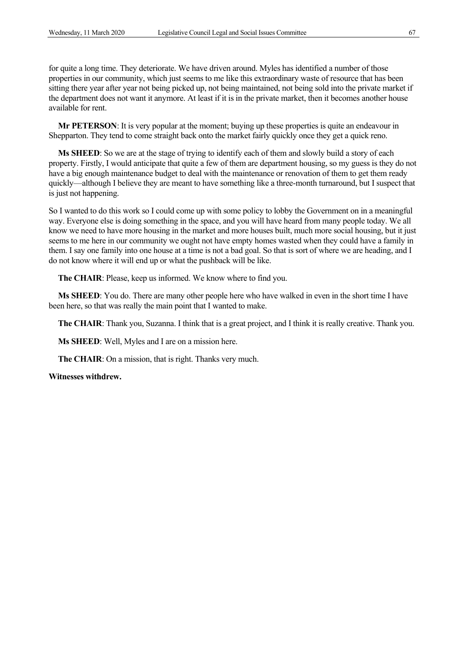for quite a long time. They deteriorate. We have driven around. Myles has identified a number of those properties in our community, which just seems to me like this extraordinary waste of resource that has been sitting there year after year not being picked up, not being maintained, not being sold into the private market if the department does not want it anymore. At least if it is in the private market, then it becomes another house available for rent.

**Mr PETERSON**: It is very popular at the moment; buying up these properties is quite an endeavour in Shepparton. They tend to come straight back onto the market fairly quickly once they get a quick reno.

**Ms SHEED**: So we are at the stage of trying to identify each of them and slowly build a story of each property. Firstly, I would anticipate that quite a few of them are department housing, so my guess is they do not have a big enough maintenance budget to deal with the maintenance or renovation of them to get them ready quickly—although I believe they are meant to have something like a three-month turnaround, but I suspect that is just not happening.

So I wanted to do this work so I could come up with some policy to lobby the Government on in a meaningful way. Everyone else is doing something in the space, and you will have heard from many people today. We all know we need to have more housing in the market and more houses built, much more social housing, but it just seems to me here in our community we ought not have empty homes wasted when they could have a family in them. I say one family into one house at a time is not a bad goal. So that is sort of where we are heading, and I do not know where it will end up or what the pushback will be like.

**The CHAIR**: Please, keep us informed. We know where to find you.

**Ms SHEED**: You do. There are many other people here who have walked in even in the short time I have been here, so that was really the main point that I wanted to make.

**The CHAIR**: Thank you, Suzanna. I think that is a great project, and I think it is really creative. Thank you.

**Ms SHEED**: Well, Myles and I are on a mission here.

**The CHAIR**: On a mission, that is right. Thanks very much.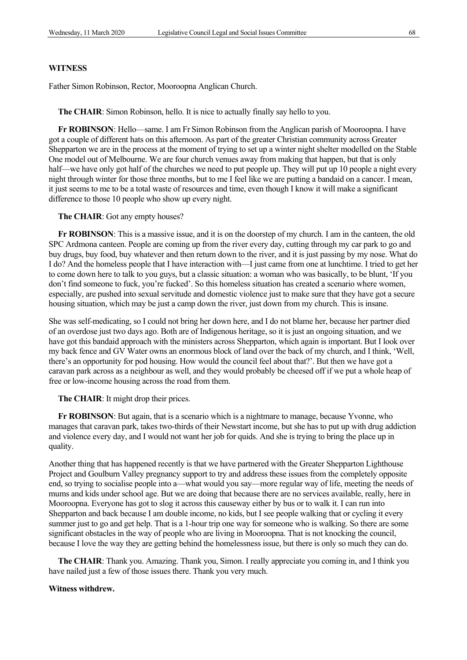Father Simon Robinson, Rector, Mooroopna Anglican Church.

**The CHAIR**: Simon Robinson, hello. It is nice to actually finally say hello to you.

**Fr ROBINSON**: Hello—same. I am Fr Simon Robinson from the Anglican parish of Mooroopna. I have got a couple of different hats on this afternoon. As part of the greater Christian community across Greater Shepparton we are in the process at the moment of trying to set up a winter night shelter modelled on the Stable One model out of Melbourne. We are four church venues away from making that happen, but that is only half—we have only got half of the churches we need to put people up. They will put up 10 people a night every night through winter for those three months, but to me I feel like we are putting a bandaid on a cancer. I mean, it just seems to me to be a total waste of resources and time, even though I know it will make a significant difference to those 10 people who show up every night.

**The CHAIR**: Got any empty houses?

**Fr ROBINSON**: This is a massive issue, and it is on the doorstep of my church. I am in the canteen, the old SPC Ardmona canteen. People are coming up from the river every day, cutting through my car park to go and buy drugs, buy food, buy whatever and then return down to the river, and it is just passing by my nose. What do I do? And the homeless people that I have interaction with—I just came from one at lunchtime. I tried to get her to come down here to talk to you guys, but a classic situation: a woman who was basically, to be blunt, 'If you don't find someone to fuck, you're fucked'. So this homeless situation has created a scenario where women, especially, are pushed into sexual servitude and domestic violence just to make sure that they have got a secure housing situation, which may be just a camp down the river, just down from my church. This is insane.

She was self-medicating, so I could not bring her down here, and I do not blame her, because her partner died of an overdose just two days ago. Both are of Indigenous heritage, so it is just an ongoing situation, and we have got this bandaid approach with the ministers across Shepparton, which again is important. But I look over my back fence and GV Water owns an enormous block of land over the back of my church, and I think, 'Well, there's an opportunity for pod housing. How would the council feel about that?'. But then we have got a caravan park across as a neighbour as well, and they would probably be cheesed off if we put a whole heap of free or low-income housing across the road from them.

**The CHAIR**: It might drop their prices.

**Fr ROBINSON**: But again, that is a scenario which is a nightmare to manage, because Yvonne, who manages that caravan park, takes two-thirds of their Newstart income, but she has to put up with drug addiction and violence every day, and I would not want her job for quids. And she is trying to bring the place up in quality.

Another thing that has happened recently is that we have partnered with the Greater Shepparton Lighthouse Project and Goulburn Valley pregnancy support to try and address these issues from the completely opposite end, so trying to socialise people into a—what would you say—more regular way of life, meeting the needs of mums and kids under school age. But we are doing that because there are no services available, really, here in Mooroopna. Everyone has got to slog it across this causeway either by bus or to walk it. I can run into Shepparton and back because I am double income, no kids, but I see people walking that or cycling it every summer just to go and get help. That is a 1-hour trip one way for someone who is walking. So there are some significant obstacles in the way of people who are living in Mooroopna. That is not knocking the council, because I love the way they are getting behind the homelessness issue, but there is only so much they can do.

**The CHAIR**: Thank you. Amazing. Thank you, Simon. I really appreciate you coming in, and I think you have nailed just a few of those issues there. Thank you very much.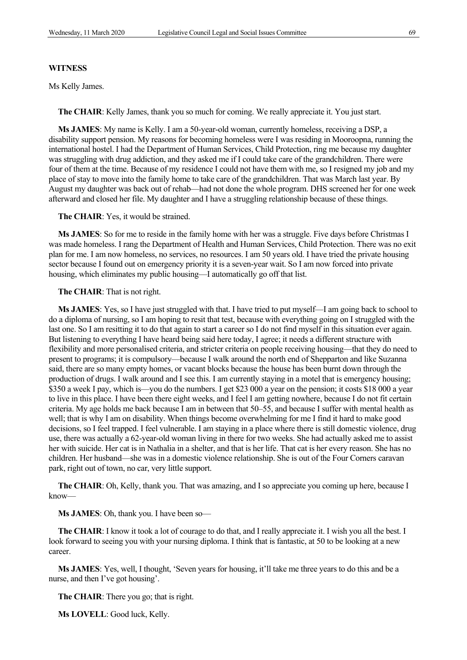Ms Kelly James.

**The CHAIR**: Kelly James, thank you so much for coming. We really appreciate it. You just start.

**Ms JAMES:** My name is Kelly. I am a 50-year-old woman, currently homeless, receiving a DSP, a disability support pension. My reasons for becoming homeless were I was residing in Mooroopna, running the international hostel. I had the Department of Human Services, Child Protection, ring me because my daughter was struggling with drug addiction, and they asked me if I could take care of the grandchildren. There were four of them at the time. Because of my residence I could not have them with me, so I resigned my job and my place of stay to move into the family home to take care of the grandchildren. That was March last year. By August my daughter was back out of rehab—had not done the whole program. DHS screened her for one week afterward and closed her file. My daughter and I have a struggling relationship because of these things.

**The CHAIR**: Yes, it would be strained.

**Ms JAMES**: So for me to reside in the family home with her was a struggle. Five days before Christmas I was made homeless. I rang the Department of Health and Human Services, Child Protection. There was no exit plan for me. I am now homeless, no services, no resources. I am 50 years old. I have tried the private housing sector because I found out on emergency priority it is a seven-year wait. So I am now forced into private housing, which eliminates my public housing—I automatically go off that list.

**The CHAIR**: That is not right.

**Ms JAMES**: Yes, so I have just struggled with that. I have tried to put myself—I am going back to school to do a diploma of nursing, so I am hoping to resit that test, because with everything going on I struggled with the last one. So I am resitting it to do that again to start a career so I do not find myself in this situation ever again. But listening to everything I have heard being said here today, I agree; it needs a different structure with flexibility and more personalised criteria, and stricter criteria on people receiving housing—that they do need to present to programs; it is compulsory—because I walk around the north end of Shepparton and like Suzanna said, there are so many empty homes, or vacant blocks because the house has been burnt down through the production of drugs. I walk around and I see this. I am currently staying in a motel that is emergency housing; \$350 a week I pay, which is—you do the numbers. I get \$23 000 a year on the pension; it costs \$18 000 a year to live in this place. I have been there eight weeks, and I feel I am getting nowhere, because I do not fit certain criteria. My age holds me back because I am in between that 50–55, and because I suffer with mental health as well; that is why I am on disability. When things become overwhelming for me I find it hard to make good decisions, so I feel trapped. I feel vulnerable. I am staying in a place where there is still domestic violence, drug use, there was actually a 62-year-old woman living in there for two weeks. She had actually asked me to assist her with suicide. Her cat is in Nathalia in a shelter, and that is her life. That cat is her every reason. She has no children. Her husband—she was in a domestic violence relationship. She is out of the Four Corners caravan park, right out of town, no car, very little support.

**The CHAIR**: Oh, Kelly, thank you. That was amazing, and I so appreciate you coming up here, because I know—

**Ms JAMES**: Oh, thank you. I have been so—

**The CHAIR**: I know it took a lot of courage to do that, and I really appreciate it. I wish you all the best. I look forward to seeing you with your nursing diploma. I think that is fantastic, at 50 to be looking at a new career.

**Ms JAMES**: Yes, well, I thought, 'Seven years for housing, it'll take me three years to do this and be a nurse, and then I've got housing'.

**The CHAIR**: There you go; that is right.

**Ms LOVELL**: Good luck, Kelly.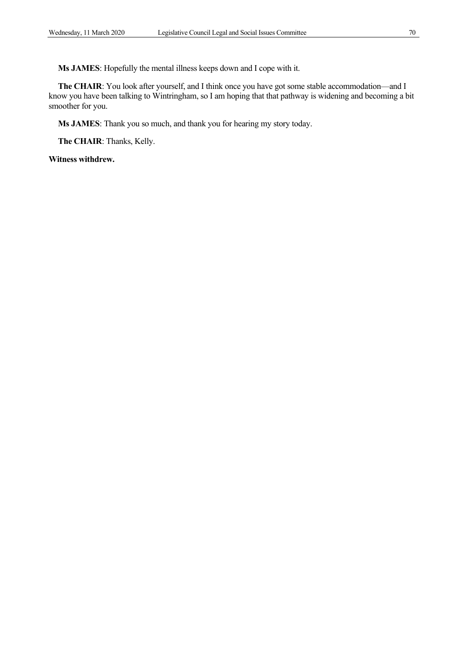**Ms JAMES**: Hopefully the mental illness keeps down and I cope with it.

**The CHAIR**: You look after yourself, and I think once you have got some stable accommodation—and I know you have been talking to Wintringham, so I am hoping that that pathway is widening and becoming a bit smoother for you.

**Ms JAMES**: Thank you so much, and thank you for hearing my story today.

**The CHAIR**: Thanks, Kelly.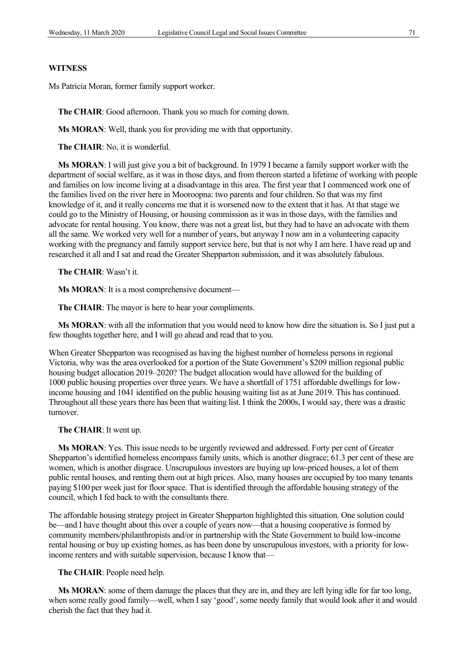Ms Patricia Moran, former family support worker.

**The CHAIR**: Good afternoon. Thank you so much for coming down.

**Ms MORAN**: Well, thank you for providing me with that opportunity.

**The CHAIR**: No, it is wonderful.

**Ms MORAN**: I will just give you a bit of background. In 1979 I became a family support worker with the department of social welfare, as it was in those days, and from thereon started a lifetime of working with people and families on low income living at a disadvantage in this area. The first year that I commenced work one of the families lived on the river here in Mooroopna: two parents and four children. So that was my first knowledge of it, and it really concerns me that it is worsened now to the extent that it has. At that stage we could go to the Ministry of Housing, or housing commission as it was in those days, with the families and advocate for rental housing. You know, there was not a great list, but they had to have an advocate with them all the same. We worked very well for a number of years, but anyway I now am in a volunteering capacity working with the pregnancy and family support service here, but that is not why I am here. I have read up and researched it all and I sat and read the Greater Shepparton submission, and it was absolutely fabulous.

**The CHAIR**: Wasn't it.

**Ms MORAN**: It is a most comprehensive document—

**The CHAIR**: The mayor is here to hear your compliments.

**Ms MORAN**: with all the information that you would need to know how dire the situation is. So I just put a few thoughts together here, and I will go ahead and read that to you.

When Greater Shepparton was recognised as having the highest number of homeless persons in regional Victoria, why was the area overlooked for a portion of the State Government's \$209 million regional public housing budget allocation 2019–2020? The budget allocation would have allowed for the building of 1000 public housing properties over three years. We have a shortfall of 1751 affordable dwellings for lowincome housing and 1041 identified on the public housing waiting list as at June 2019. This has continued. Throughout all these years there has been that waiting list. I think the 2000s, I would say, there was a drastic turnover.

#### **The CHAIR**: It went up.

**Ms MORAN**: Yes. This issue needs to be urgently reviewed and addressed. Forty per cent of Greater Shepparton's identified homeless encompass family units, which is another disgrace; 61.3 per cent of these are women, which is another disgrace. Unscrupulous investors are buying up low-priced houses, a lot of them public rental houses, and renting them out at high prices. Also, many houses are occupied by too many tenants paying \$100 per week just for floor space. That is identified through the affordable housing strategy of the council, which I fed back to with the consultants there.

The affordable housing strategy project in Greater Shepparton highlighted this situation. One solution could be—and I have thought about this over a couple of years now—that a housing cooperative is formed by community members/philanthropists and/or in partnership with the State Government to build low-income rental housing or buy up existing homes, as has been done by unscrupulous investors, with a priority for lowincome renters and with suitable supervision, because I know that—

**The CHAIR**: People need help.

**Ms MORAN**: some of them damage the places that they are in, and they are left lying idle for far too long, when some really good family—well, when I say 'good', some needy family that would look after it and would cherish the fact that they had it.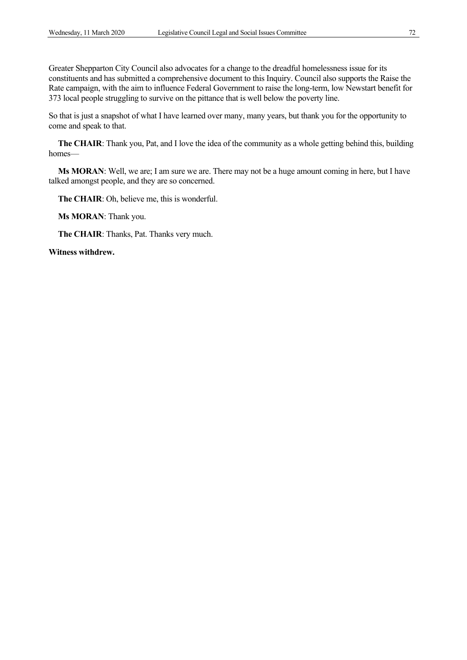Greater Shepparton City Council also advocates for a change to the dreadful homelessness issue for its constituents and has submitted a comprehensive document to this Inquiry. Council also supports the Raise the Rate campaign, with the aim to influence Federal Government to raise the long-term, low Newstart benefit for 373 local people struggling to survive on the pittance that is well below the poverty line.

So that is just a snapshot of what I have learned over many, many years, but thank you for the opportunity to come and speak to that.

**The CHAIR**: Thank you, Pat, and I love the idea of the community as a whole getting behind this, building homes—

**Ms MORAN**: Well, we are; I am sure we are. There may not be a huge amount coming in here, but I have talked amongst people, and they are so concerned.

**The CHAIR**: Oh, believe me, this is wonderful.

**Ms MORAN**: Thank you.

**The CHAIR**: Thanks, Pat. Thanks very much.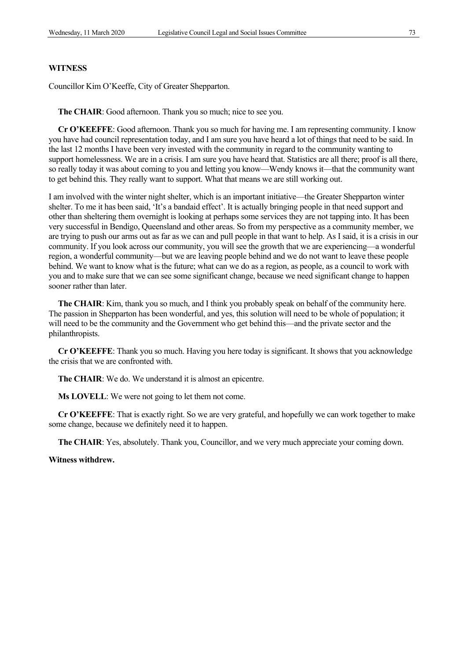Councillor Kim O'Keeffe, City of Greater Shepparton.

**The CHAIR**: Good afternoon. Thank you so much; nice to see you.

**Cr O'KEEFFE**: Good afternoon. Thank you so much for having me. I am representing community. I know you have had council representation today, and I am sure you have heard a lot of things that need to be said. In the last 12 months I have been very invested with the community in regard to the community wanting to support homelessness. We are in a crisis. I am sure you have heard that. Statistics are all there; proof is all there, so really today it was about coming to you and letting you know—Wendy knows it—that the community want to get behind this. They really want to support. What that means we are still working out.

I am involved with the winter night shelter, which is an important initiative—the Greater Shepparton winter shelter. To me it has been said, 'It's a bandaid effect'. It is actually bringing people in that need support and other than sheltering them overnight is looking at perhaps some services they are not tapping into. It has been very successful in Bendigo, Queensland and other areas. So from my perspective as a community member, we are trying to push our arms out as far as we can and pull people in that want to help. As I said, it is a crisis in our community. If you look across our community, you will see the growth that we are experiencing—a wonderful region, a wonderful community—but we are leaving people behind and we do not want to leave these people behind. We want to know what is the future; what can we do as a region, as people, as a council to work with you and to make sure that we can see some significant change, because we need significant change to happen sooner rather than later.

**The CHAIR**: Kim, thank you so much, and I think you probably speak on behalf of the community here. The passion in Shepparton has been wonderful, and yes, this solution will need to be whole of population; it will need to be the community and the Government who get behind this—and the private sector and the philanthropists.

**Cr O'KEEFFE**: Thank you so much. Having you here today is significant. It shows that you acknowledge the crisis that we are confronted with.

**The CHAIR**: We do. We understand it is almost an epicentre.

**Ms LOVELL**: We were not going to let them not come.

**Cr O'KEEFFE**: That is exactly right. So we are very grateful, and hopefully we can work together to make some change, because we definitely need it to happen.

**The CHAIR**: Yes, absolutely. Thank you, Councillor, and we very much appreciate your coming down.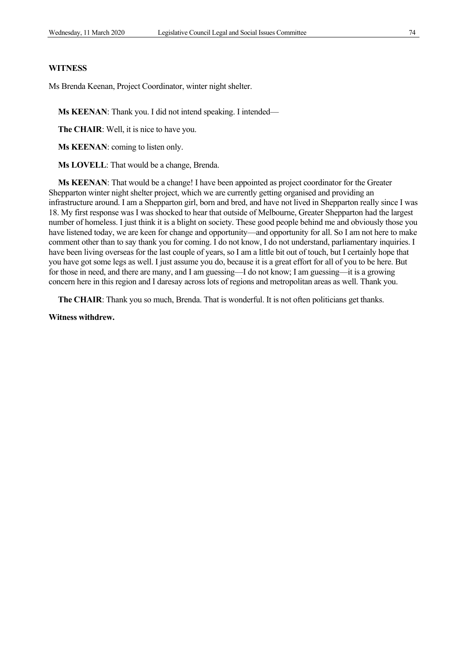Ms Brenda Keenan, Project Coordinator, winter night shelter.

**Ms KEENAN**: Thank you. I did not intend speaking. I intended—

**The CHAIR**: Well, it is nice to have you.

**Ms KEENAN**: coming to listen only.

**Ms LOVELL**: That would be a change, Brenda.

**Ms KEENAN**: That would be a change! I have been appointed as project coordinator for the Greater Shepparton winter night shelter project, which we are currently getting organised and providing an infrastructure around. I am a Shepparton girl, born and bred, and have not lived in Shepparton really since I was 18. My first response was I was shocked to hear that outside of Melbourne, Greater Shepparton had the largest number of homeless. I just think it is a blight on society. These good people behind me and obviously those you have listened today, we are keen for change and opportunity—and opportunity for all. So I am not here to make comment other than to say thank you for coming. I do not know, I do not understand, parliamentary inquiries. I have been living overseas for the last couple of years, so I am a little bit out of touch, but I certainly hope that you have got some legs as well. I just assume you do, because it is a great effort for all of you to be here. But for those in need, and there are many, and I am guessing—I do not know; I am guessing—it is a growing concern here in this region and I daresay across lots of regions and metropolitan areas as well. Thank you.

**The CHAIR**: Thank you so much, Brenda. That is wonderful. It is not often politicians get thanks.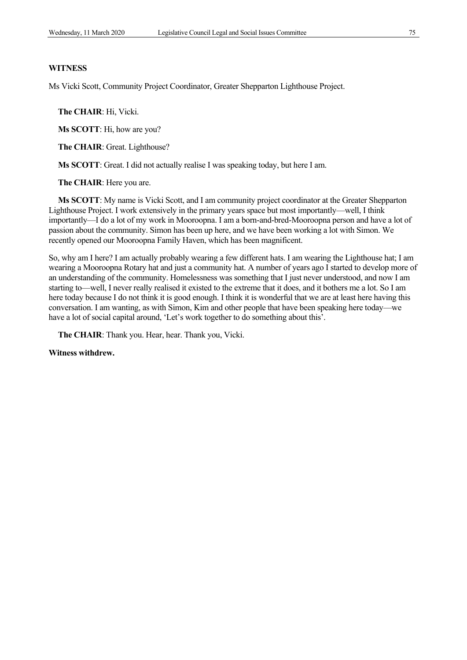Ms Vicki Scott, Community Project Coordinator, Greater Shepparton Lighthouse Project.

**The CHAIR**: Hi, Vicki.

**Ms SCOTT**: Hi, how are you?

**The CHAIR**: Great. Lighthouse?

**Ms SCOTT**: Great. I did not actually realise I was speaking today, but here I am.

**The CHAIR**: Here you are.

**Ms SCOTT**: My name is Vicki Scott, and I am community project coordinator at the Greater Shepparton Lighthouse Project. I work extensively in the primary years space but most importantly—well, I think importantly—I do a lot of my work in Mooroopna. I am a born-and-bred-Mooroopna person and have a lot of passion about the community. Simon has been up here, and we have been working a lot with Simon. We recently opened our Mooroopna Family Haven, which has been magnificent.

So, why am I here? I am actually probably wearing a few different hats. I am wearing the Lighthouse hat; I am wearing a Mooroopna Rotary hat and just a community hat. A number of years ago I started to develop more of an understanding of the community. Homelessness was something that I just never understood, and now I am starting to—well, I never really realised it existed to the extreme that it does, and it bothers me a lot. So I am here today because I do not think it is good enough. I think it is wonderful that we are at least here having this conversation. I am wanting, as with Simon, Kim and other people that have been speaking here today—we have a lot of social capital around, 'Let's work together to do something about this'.

**The CHAIR**: Thank you. Hear, hear. Thank you, Vicki.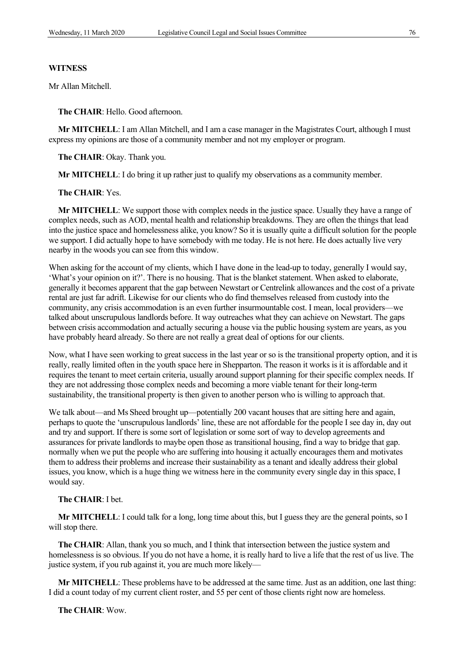Mr Allan Mitchell.

**The CHAIR**: Hello. Good afternoon.

**Mr MITCHELL**: I am Allan Mitchell, and I am a case manager in the Magistrates Court, although I must express my opinions are those of a community member and not my employer or program.

**The CHAIR**: Okay. Thank you.

**Mr MITCHELL**: I do bring it up rather just to qualify my observations as a community member.

#### **The CHAIR**: Yes.

**Mr MITCHELL**: We support those with complex needs in the justice space. Usually they have a range of complex needs, such as AOD, mental health and relationship breakdowns. They are often the things that lead into the justice space and homelessness alike, you know? So it is usually quite a difficult solution for the people we support. I did actually hope to have somebody with me today. He is not here. He does actually live very nearby in the woods you can see from this window.

When asking for the account of my clients, which I have done in the lead-up to today, generally I would say, 'What's your opinion on it?'. There is no housing. That is the blanket statement. When asked to elaborate, generally it becomes apparent that the gap between Newstart or Centrelink allowances and the cost of a private rental are just far adrift. Likewise for our clients who do find themselves released from custody into the community, any crisis accommodation is an even further insurmountable cost. I mean, local providers—we talked about unscrupulous landlords before. It way outreaches what they can achieve on Newstart. The gaps between crisis accommodation and actually securing a house via the public housing system are years, as you have probably heard already. So there are not really a great deal of options for our clients.

Now, what I have seen working to great success in the last year or so is the transitional property option, and it is really, really limited often in the youth space here in Shepparton. The reason it works is it is affordable and it requires the tenant to meet certain criteria, usually around support planning for their specific complex needs. If they are not addressing those complex needs and becoming a more viable tenant for their long-term sustainability, the transitional property is then given to another person who is willing to approach that.

We talk about—and Ms Sheed brought up—potentially 200 vacant houses that are sitting here and again, perhaps to quote the 'unscrupulous landlords' line, these are not affordable for the people I see day in, day out and try and support. If there is some sort of legislation or some sort of way to develop agreements and assurances for private landlords to maybe open those as transitional housing, find a way to bridge that gap. normally when we put the people who are suffering into housing it actually encourages them and motivates them to address their problems and increase their sustainability as a tenant and ideally address their global issues, you know, which is a huge thing we witness here in the community every single day in this space, I would say.

#### **The CHAIR**: I bet.

**Mr MITCHELL**: I could talk for a long, long time about this, but I guess they are the general points, so I will stop there.

**The CHAIR**: Allan, thank you so much, and I think that intersection between the justice system and homelessness is so obvious. If you do not have a home, it is really hard to live a life that the rest of us live. The justice system, if you rub against it, you are much more likely—

**Mr MITCHELL**: These problems have to be addressed at the same time. Just as an addition, one last thing: I did a count today of my current client roster, and 55 per cent of those clients right now are homeless.

**The CHAIR**: Wow.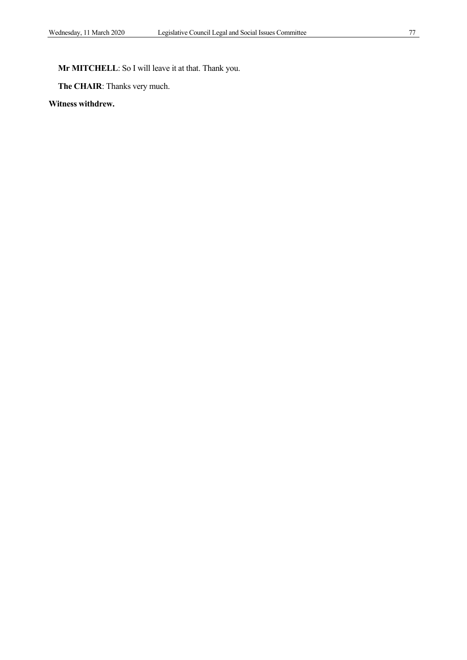**Mr MITCHELL**: So I will leave it at that. Thank you.

**The CHAIR**: Thanks very much.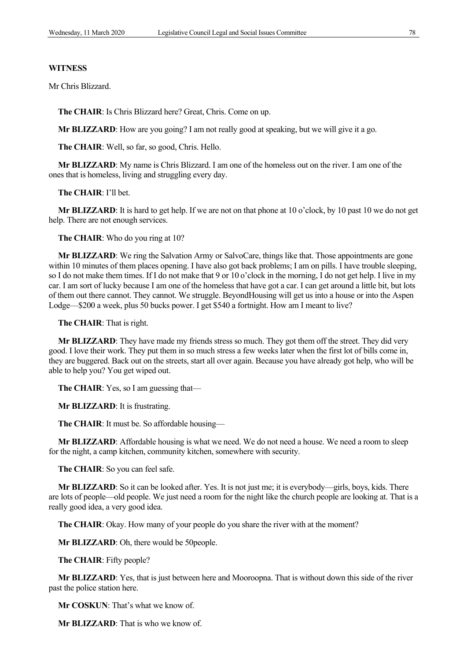Mr Chris Blizzard.

**The CHAIR**: Is Chris Blizzard here? Great, Chris. Come on up.

**Mr BLIZZARD**: How are you going? I am not really good at speaking, but we will give it a go.

**The CHAIR**: Well, so far, so good, Chris. Hello.

**Mr BLIZZARD**: My name is Chris Blizzard. I am one of the homeless out on the river. I am one of the ones that is homeless, living and struggling every day.

#### **The CHAIR**: I'll bet.

**Mr BLIZZARD**: It is hard to get help. If we are not on that phone at 10 o'clock, by 10 past 10 we do not get help. There are not enough services.

**The CHAIR**: Who do you ring at 10?

**Mr BLIZZARD**: We ring the Salvation Army or SalvoCare, things like that. Those appointments are gone within 10 minutes of them places opening. I have also got back problems; I am on pills. I have trouble sleeping, so I do not make them times. If I do not make that 9 or 10 o'clock in the morning, I do not get help. I live in my car. I am sort of lucky because I am one of the homeless that have got a car. I can get around a little bit, but lots of them out there cannot. They cannot. We struggle. BeyondHousing will get us into a house or into the Aspen Lodge—\$200 a week, plus 50 bucks power. I get \$540 a fortnight. How am I meant to live?

**The CHAIR**: That is right.

**Mr BLIZZARD**: They have made my friends stress so much. They got them off the street. They did very good. I love their work. They put them in so much stress a few weeks later when the first lot of bills come in, they are buggered. Back out on the streets, start all over again. Because you have already got help, who will be able to help you? You get wiped out.

**The CHAIR**: Yes, so I am guessing that—

**Mr BLIZZARD**: It is frustrating.

**The CHAIR**: It must be. So affordable housing—

**Mr BLIZZARD**: Affordable housing is what we need. We do not need a house. We need a room to sleep for the night, a camp kitchen, community kitchen, somewhere with security.

**The CHAIR**: So you can feel safe.

**Mr BLIZZARD**: So it can be looked after. Yes. It is not just me; it is everybody—girls, boys, kids. There are lots of people—old people. We just need a room for the night like the church people are looking at. That is a really good idea, a very good idea.

**The CHAIR**: Okay. How many of your people do you share the river with at the moment?

**Mr BLIZZARD**: Oh, there would be 50people.

**The CHAIR**: Fifty people?

**Mr BLIZZARD**: Yes, that is just between here and Mooroopna. That is without down this side of the river past the police station here.

**Mr COSKUN**: That's what we know of.

**Mr BLIZZARD**: That is who we know of.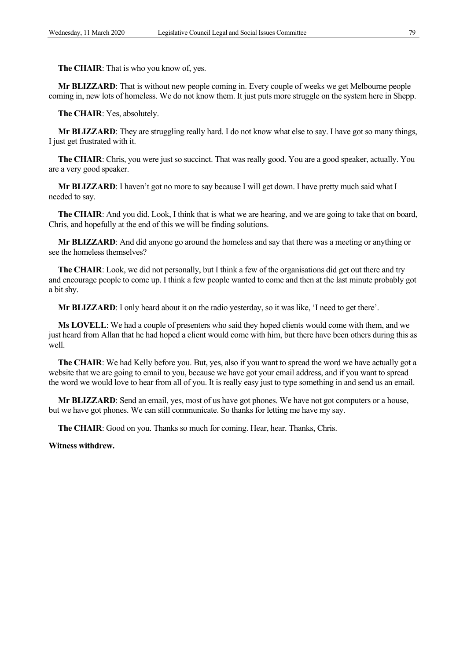**The CHAIR**: That is who you know of, yes.

**Mr BLIZZARD**: That is without new people coming in. Every couple of weeks we get Melbourne people coming in, new lots of homeless. We do not know them. It just puts more struggle on the system here in Shepp.

**The CHAIR**: Yes, absolutely.

**Mr BLIZZARD**: They are struggling really hard. I do not know what else to say. I have got so many things, I just get frustrated with it.

**The CHAIR**: Chris, you were just so succinct. That was really good. You are a good speaker, actually. You are a very good speaker.

**Mr BLIZZARD**: I haven't got no more to say because I will get down. I have pretty much said what I needed to say.

**The CHAIR:** And you did. Look, I think that is what we are hearing, and we are going to take that on board, Chris, and hopefully at the end of this we will be finding solutions.

**Mr BLIZZARD**: And did anyone go around the homeless and say that there was a meeting or anything or see the homeless themselves?

**The CHAIR**: Look, we did not personally, but I think a few of the organisations did get out there and try and encourage people to come up. I think a few people wanted to come and then at the last minute probably got a bit shy.

**Mr BLIZZARD**: I only heard about it on the radio yesterday, so it was like, 'I need to get there'.

**Ms LOVELL**: We had a couple of presenters who said they hoped clients would come with them, and we just heard from Allan that he had hoped a client would come with him, but there have been others during this as well.

**The CHAIR**: We had Kelly before you. But, yes, also if you want to spread the word we have actually got a website that we are going to email to you, because we have got your email address, and if you want to spread the word we would love to hear from all of you. It is really easy just to type something in and send us an email.

**Mr BLIZZARD**: Send an email, yes, most of us have got phones. We have not got computers or a house, but we have got phones. We can still communicate. So thanks for letting me have my say.

**The CHAIR**: Good on you. Thanks so much for coming. Hear, hear. Thanks, Chris.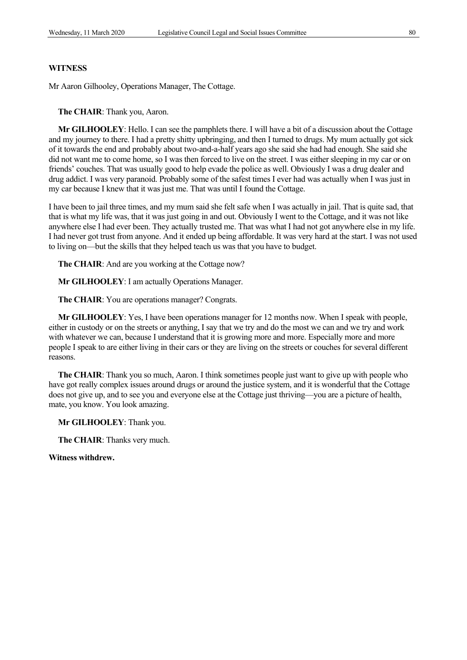Mr Aaron Gilhooley, Operations Manager, The Cottage.

**The CHAIR**: Thank you, Aaron.

**Mr GILHOOLEY**: Hello. I can see the pamphlets there. I will have a bit of a discussion about the Cottage and my journey to there. I had a pretty shitty upbringing, and then I turned to drugs. My mum actually got sick of it towards the end and probably about two-and-a-half years ago she said she had had enough. She said she did not want me to come home, so I was then forced to live on the street. I was either sleeping in my car or on friends' couches. That was usually good to help evade the police as well. Obviously I was a drug dealer and drug addict. I was very paranoid. Probably some of the safest times I ever had was actually when I was just in my car because I knew that it was just me. That was until I found the Cottage.

I have been to jail three times, and my mum said she felt safe when I was actually in jail. That is quite sad, that that is what my life was, that it was just going in and out. Obviously I went to the Cottage, and it was not like anywhere else I had ever been. They actually trusted me. That was what I had not got anywhere else in my life. I had never got trust from anyone. And it ended up being affordable. It was very hard at the start. I was not used to living on—but the skills that they helped teach us was that you have to budget.

**The CHAIR**: And are you working at the Cottage now?

**Mr GILHOOLEY**: I am actually Operations Manager.

**The CHAIR**: You are operations manager? Congrats.

**Mr GILHOOLEY**: Yes, I have been operations manager for 12 months now. When I speak with people, either in custody or on the streets or anything, I say that we try and do the most we can and we try and work with whatever we can, because I understand that it is growing more and more. Especially more and more people I speak to are either living in their cars or they are living on the streets or couches for several different reasons.

**The CHAIR**: Thank you so much, Aaron. I think sometimes people just want to give up with people who have got really complex issues around drugs or around the justice system, and it is wonderful that the Cottage does not give up, and to see you and everyone else at the Cottage just thriving—you are a picture of health, mate, you know. You look amazing.

**Mr GILHOOLEY**: Thank you.

**The CHAIR**: Thanks very much.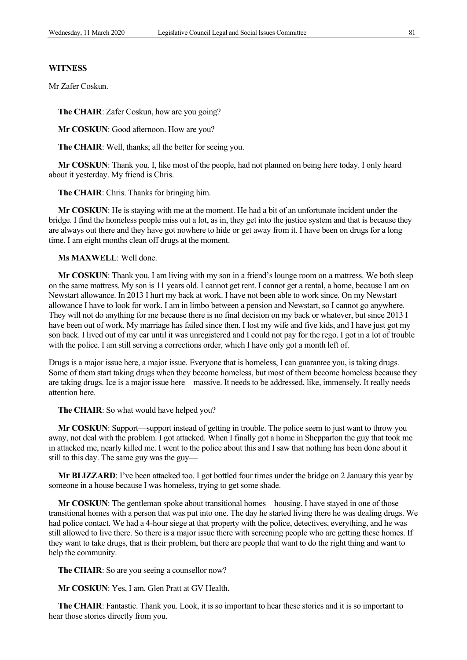Mr Zafer Coskun.

**The CHAIR**: Zafer Coskun, how are you going?

**Mr COSKUN**: Good afternoon. How are you?

**The CHAIR**: Well, thanks; all the better for seeing you.

**Mr COSKUN**: Thank you. I, like most of the people, had not planned on being here today. I only heard about it yesterday. My friend is Chris.

**The CHAIR**: Chris. Thanks for bringing him.

**Mr COSKUN**: He is staying with me at the moment. He had a bit of an unfortunate incident under the bridge. I find the homeless people miss out a lot, as in, they get into the justice system and that is because they are always out there and they have got nowhere to hide or get away from it. I have been on drugs for a long time. I am eight months clean off drugs at the moment.

**Ms MAXWELL**: Well done.

**Mr COSKUN**: Thank you. I am living with my son in a friend's lounge room on a mattress. We both sleep on the same mattress. My son is 11 years old. I cannot get rent. I cannot get a rental, a home, because I am on Newstart allowance. In 2013 I hurt my back at work. I have not been able to work since. On my Newstart allowance I have to look for work. I am in limbo between a pension and Newstart, so I cannot go anywhere. They will not do anything for me because there is no final decision on my back or whatever, but since 2013 I have been out of work. My marriage has failed since then. I lost my wife and five kids, and I have just got my son back. I lived out of my car until it was unregistered and I could not pay for the rego. I got in a lot of trouble with the police. I am still serving a corrections order, which I have only got a month left of.

Drugs is a major issue here, a major issue. Everyone that is homeless, I can guarantee you, is taking drugs. Some of them start taking drugs when they become homeless, but most of them become homeless because they are taking drugs. Ice is a major issue here—massive. It needs to be addressed, like, immensely. It really needs attention here.

**The CHAIR**: So what would have helped you?

**Mr COSKUN**: Support—support instead of getting in trouble. The police seem to just want to throw you away, not deal with the problem. I got attacked. When I finally got a home in Shepparton the guy that took me in attacked me, nearly killed me. I went to the police about this and I saw that nothing has been done about it still to this day. The same guy was the guy—

**Mr BLIZZARD**: I've been attacked too. I got bottled four times under the bridge on 2 January this year by someone in a house because I was homeless, trying to get some shade.

**Mr COSKUN**: The gentleman spoke about transitional homes—housing. I have stayed in one of those transitional homes with a person that was put into one. The day he started living there he was dealing drugs. We had police contact. We had a 4-hour siege at that property with the police, detectives, everything, and he was still allowed to live there. So there is a major issue there with screening people who are getting these homes. If they want to take drugs, that is their problem, but there are people that want to do the right thing and want to help the community.

The CHAIR: So are you seeing a counsellor now?

**Mr COSKUN**: Yes, I am. Glen Pratt at GV Health.

**The CHAIR**: Fantastic. Thank you. Look, it is so important to hear these stories and it is so important to hear those stories directly from you.